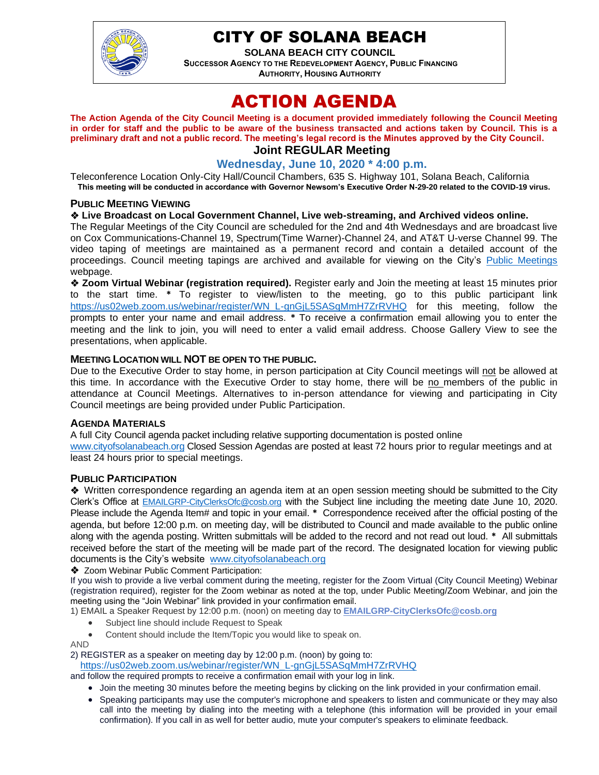

# CITY OF SOLANA BEACH

**SOLANA BEACH CITY COUNCIL SUCCESSOR AGENCY TO THE REDEVELOPMENT AGENCY, PUBLIC FINANCING AUTHORITY, HOUSING AUTHORITY** 

# ACTION AGENDA

**The Action Agenda of the City Council Meeting is a document provided immediately following the Council Meeting in order for staff and the public to be aware of the business transacted and actions taken by Council. This is a preliminary draft and not a public record. The meeting's legal record is the Minutes approved by the City Council. Joint REGULAR Meeting**

#### **Wednesday, June 10, 2020 \* 4:00 p.m.**

Teleconference Location Only-City Hall/Council Chambers, 635 S. Highway 101, Solana Beach, California **This meeting will be conducted in accordance with Governor Newsom's Executive Order N-29-20 related to the COVID-19 virus.**

#### **PUBLIC MEETING VIEWING**

#### ❖ **Live Broadcast on Local Government Channel, Live web-streaming, and Archived videos online.**

The Regular Meetings of the City Council are scheduled for the 2nd and 4th Wednesdays and are broadcast live on Cox Communications-Channel 19, Spectrum(Time Warner)-Channel 24, and AT&T U-verse Channel 99. The video taping of meetings are maintained as a permanent record and contain a detailed account of the proceedings. Council meeting tapings are archived and available for viewing on the City's [Public Meetings](https://urldefense.proofpoint.com/v2/url?u=https-3A__www.ci.solana-2Dbeach.ca.us_index.asp-3FSEC-3DF0F1200D-2D21C6-2D4A88-2D8AE1-2D0BC07C1A81A7-26Type-3DB-5FBASIC&d=DwMFAg&c=euGZstcaTDllvimEN8b7jXrwqOf-v5A_CdpgnVfiiMM&r=1XAsCUuqwK_tji2t0s1uIQ&m=wny2RVfZJ2tN24LkqZmkUWNpwL_peNtTZUBlTBZiMM4&s=WwpcEQpHHkFen6nS6q2waMuQ_VMZ-i1YZ60lD-dYRRE&e=) webpage.

❖ **Zoom Virtual Webinar (registration required).** Register early and Join the meeting at least 15 minutes prior to the start time. **\*** To register to view/listen to the meeting, go to this public participant link [https://us02web.zoom.us/webinar/register/WN\\_L-gnGjL5SASqMmH7ZrRVHQ](https://us02web.zoom.us/webinar/register/WN_L-gnGjL5SASqMmH7ZrRVHQ) for this meeting, follow the prompts to enter your name and email address. **\*** To receive a confirmation email allowing you to enter the meeting and the link to join, you will need to enter a valid email address. Choose Gallery View to see the presentations, when applicable.

#### **MEETING LOCATION WILL NOT BE OPEN TO THE PUBLIC.**

Due to the Executive Order to stay home, in person participation at City Council meetings will not be allowed at this time. In accordance with the Executive Order to stay home, there will be no members of the public in attendance at Council Meetings. Alternatives to in-person attendance for viewing and participating in City Council meetings are being provided under Public Participation.

#### **AGENDA MATERIALS**

A full City Council agenda packet including relative supporting documentation is posted online [www.cityofsolanabeach.org](https://urldefense.proofpoint.com/v2/url?u=http-3A__www.cityofsolanabeach.org&d=DwQFAg&c=euGZstcaTDllvimEN8b7jXrwqOf-v5A_CdpgnVfiiMM&r=1XAsCUuqwK_tji2t0s1uIQ&m=wny2RVfZJ2tN24LkqZmkUWNpwL_peNtTZUBlTBZiMM4&s=6ATguqxJUOD7VVtloplAbyuyNaVcEh6Fl4q1iw55lCY&e=) Closed Session Agendas are posted at least 72 hours prior to regular meetings and at least 24 hours prior to special meetings.

#### **PUBLIC PARTICIPATION**

❖Written correspondence regarding an agenda item at an open session meeting should be submitted to the City Clerk's Office at [EMAILGRP-CityClerksOfc@cosb.org](mailto:EMAILGRP-CityClerksOfc@cosb.org) with the Subject line including the meeting date June 10, 2020. Please include the Agenda Item# and topic in your email. **\*** Correspondence received after the official posting of the agenda, but before 12:00 p.m. on meeting day, will be distributed to Council and made available to the public online along with the agenda posting. Written submittals will be added to the record and not read out loud. **\*** All submittals received before the start of the meeting will be made part of the record. The designated location for viewing public documents is the City's website [www.cityofsolanabeach.org](http://www.cityofsolanabeach.org/)

❖ Zoom Webinar Public Comment Participation:

If you wish to provide a live verbal comment during the meeting, register for the Zoom Virtual (City Council Meeting) Webinar (registration required), register for the Zoom webinar as noted at the top, under Public Meeting/Zoom Webinar, and join the meeting using the "Join Webinar" link provided in your confirmation email.

- 1) EMAIL a Speaker Request by 12:00 p.m. (noon) on meeting day to **[EMAILGRP-CityClerksOfc@cosb.org](mailto:EMAILGRP-CityClerksOfc@cosb.org)**
	- Subject line should include Request to Speak
	- Content should include the Item/Topic you would like to speak on.
- AND

2) REGISTER as a speaker on meeting day by 12:00 p.m. (noon) by going to:

[https://us02web.zoom.us/webinar/register/WN\\_L-gnGjL5SASqMmH7ZrRVHQ](https://us02web.zoom.us/webinar/register/WN_L-gnGjL5SASqMmH7ZrRVHQ)

and follow the required prompts to receive a confirmation email with your log in link.

- Join the meeting 30 minutes before the meeting begins by clicking on the link provided in your confirmation email.
- Speaking participants may use the computer's microphone and speakers to listen and communicate or they may also call into the meeting by dialing into the meeting with a telephone (this information will be provided in your email confirmation). If you call in as well for better audio, mute your computer's speakers to eliminate feedback.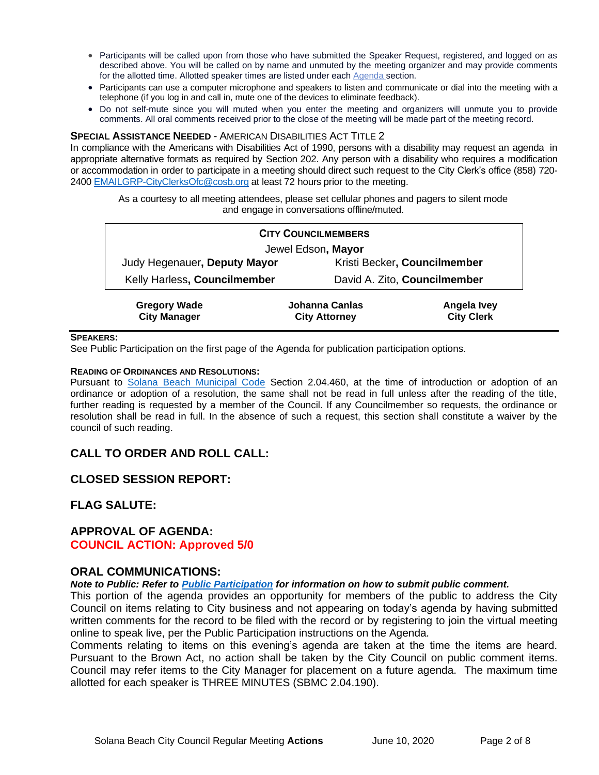- Participants will be called upon from those who have submitted the Speaker Request, registered, and logged on as described above. You will be called on by name and unmuted by the meeting organizer and may provide comments for the allotted time. Allotted speaker times are listed under each [Agenda s](https://urldefense.proofpoint.com/v2/url?u=https-3A__www.ci.solana-2Dbeach.ca.us_index.asp-3FSEC-3DF0F1200D-2D21C6-2D4A88-2D8AE1-2D0BC07C1A81A7-26Type-3DB-5FBASIC&d=DwMFaQ&c=euGZstcaTDllvimEN8b7jXrwqOf-v5A_CdpgnVfiiMM&r=1XAsCUuqwK_tji2t0s1uIQ&m=C7WzXfOw2_nkEFMJClT55zZsF4tmIf_7KTn0o1WpYqI&s=3DcsWExM2_nx_xpvFtXslUjphiXd0MDCCF18y_Qy5yU&e=)ection.
- Participants can use a computer microphone and speakers to listen and communicate or dial into the meeting with a telephone (if you log in and call in, mute one of the devices to eliminate feedback).
- Do not self-mute since you will muted when you enter the meeting and organizers will unmute you to provide comments. All oral comments received prior to the close of the meeting will be made part of the meeting record.

#### **SPECIAL ASSISTANCE NEEDED** - AMERICAN DISABILITIES ACT TITLE 2

In compliance with the Americans with Disabilities Act of 1990, persons with a disability may request an agenda in appropriate alternative formats as required by Section 202. Any person with a disability who requires a modification or accommodation in order to participate in a meeting should direct such request to the City Clerk's office (858) 720- 2400 [EMAILGRP-CityClerksOfc@cosb.org](mailto:EMAILGRP-CityClerksOfc@cosb.org) at least 72 hours prior to the meeting.

As a courtesy to all meeting attendees, please set cellular phones and pagers to silent mode and engage in conversations offline/muted.

| <b>CITY COUNCILMEMBERS</b>                 |                                        |                                  |  |
|--------------------------------------------|----------------------------------------|----------------------------------|--|
| Jewel Edson, Mayor                         |                                        |                                  |  |
| Judy Hegenauer, Deputy Mayor               | Kristi Becker, Councilmember           |                                  |  |
| Kelly Harless, Councilmember               |                                        | David A. Zito, Councilmember     |  |
| <b>Gregory Wade</b><br><b>City Manager</b> | Johanna Canlas<br><b>City Attorney</b> | Angela Ivey<br><b>City Clerk</b> |  |

#### **SPEAKERS:**

See Public Participation on the first page of the Agenda for publication participation options.

#### **READING OF ORDINANCES AND RESOLUTIONS:**

Pursuant to [Solana Beach Municipal Code](mailto:https://www.codepublishing.com/CA/SolanaBeach/) Section 2.04.460, at the time of introduction or adoption of an ordinance or adoption of a resolution, the same shall not be read in full unless after the reading of the title, further reading is requested by a member of the Council. If any Councilmember so requests, the ordinance or resolution shall be read in full. In the absence of such a request, this section shall constitute a waiver by the council of such reading.

#### **CALL TO ORDER AND ROLL CALL:**

#### **CLOSED SESSION REPORT:**

#### **FLAG SALUTE:**

# **APPROVAL OF AGENDA:**

#### **COUNCIL ACTION: Approved 5/0**

#### **ORAL COMMUNICATIONS:**

#### *Note to Public: Refer to Public Participation for information on how to submit public comment.*

This portion of the agenda provides an opportunity for members of the public to address the City Council on items relating to City business and not appearing on today's agenda by having submitted written comments for the record to be filed with the record or by registering to join the virtual meeting online to speak live, per the Public Participation instructions on the Agenda.

Comments relating to items on this evening's agenda are taken at the time the items are heard. Pursuant to the Brown Act, no action shall be taken by the City Council on public comment items. Council may refer items to the City Manager for placement on a future agenda. The maximum time allotted for each speaker is THREE MINUTES (SBMC 2.04.190).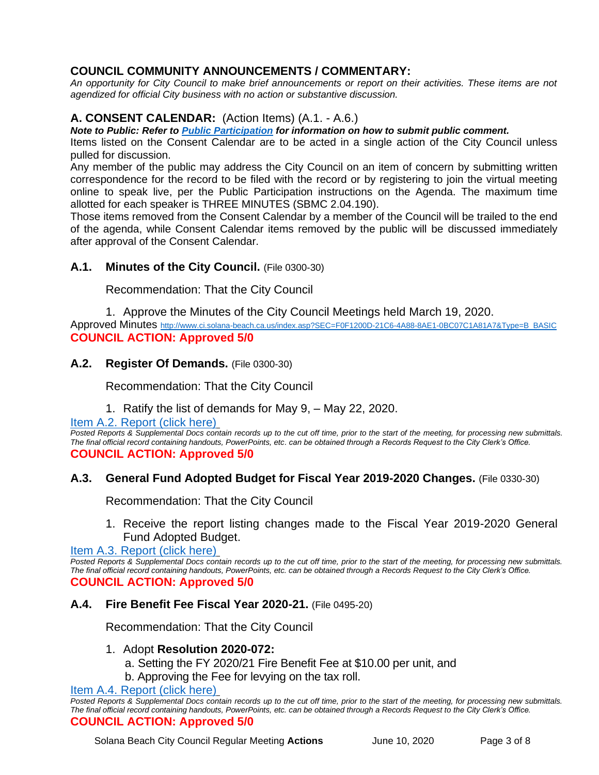# **COUNCIL COMMUNITY ANNOUNCEMENTS / COMMENTARY:**

*An opportunity for City Council to make brief announcements or report on their activities. These items are not agendized for official City business with no action or substantive discussion.* 

# **A. CONSENT CALENDAR:** (Action Items) (A.1. - A.6.)

*Note to Public: Refer to Public Participation for information on how to submit public comment.* 

Items listed on the Consent Calendar are to be acted in a single action of the City Council unless pulled for discussion.

Any member of the public may address the City Council on an item of concern by submitting written correspondence for the record to be filed with the record or by registering to join the virtual meeting online to speak live, per the Public Participation instructions on the Agenda. The maximum time allotted for each speaker is THREE MINUTES (SBMC 2.04.190).

Those items removed from the Consent Calendar by a member of the Council will be trailed to the end of the agenda, while Consent Calendar items removed by the public will be discussed immediately after approval of the Consent Calendar.

#### A.1. Minutes of the City Council. (File 0300-30)

Recommendation: That the City Council

1. Approve the Minutes of the City Council Meetings held March 19, 2020.

Approved Minutes [http://www.ci.solana-beach.ca.us/index.asp?SEC=F0F1200D-21C6-4A88-8AE1-0BC07C1A81A7&Type=B\\_BASIC](http://www.ci.solana-beach.ca.us/index.asp?SEC=F0F1200D-21C6-4A88-8AE1-0BC07C1A81A7&Type=B_BASIC) **COUNCIL ACTION: Approved 5/0**

#### **A.2. Register Of Demands.** (File 0300-30)

Recommendation: That the City Council

1. Ratify the list of demands for May 9, – May 22, 2020.

[Item A.2. Report \(click here\)](https://solanabeach.govoffice3.com/vertical/Sites/%7B840804C2-F869-4904-9AE3-720581350CE7%7D/uploads/Item_A.2._Report_(click_here)_06-10-20_-_O.pdf)

Posted Reports & Supplemental Docs contain records up to the cut off time, prior to the start of the meeting, for processing new submittals. *The final official record containing handouts, PowerPoints, etc. can be obtained through a Records Request to the City Clerk's Office.* **COUNCIL ACTION: Approved 5/0**

#### **A.3. General Fund Adopted Budget for Fiscal Year 2019-2020 Changes.** (File 0330-30)

Recommendation: That the City Council

1. Receive the report listing changes made to the Fiscal Year 2019-2020 General Fund Adopted Budget.

[Item A.3. Report \(click](https://solanabeach.govoffice3.com/vertical/Sites/%7B840804C2-F869-4904-9AE3-720581350CE7%7D/uploads/Item_A.3._Report_(click_here)_06-10-20_-_O.pdf) here)

*Posted Reports & Supplemental Docs contain records up to the cut off time, prior to the start of the meeting, for processing new submittals. The final official record containing handouts, PowerPoints, etc. can be obtained through a Records Request to the City Clerk's Office.* **COUNCIL ACTION: Approved 5/0**

#### **A.4. Fire Benefit Fee Fiscal Year 2020-21.** (File 0495-20)

Recommendation: That the City Council

#### 1. Adopt **Resolution 2020-072:**

- a. Setting the FY 2020/21 Fire Benefit Fee at \$10.00 per unit, and
- b. Approving the Fee for levying on the tax roll.

[Item A.4. Report \(click here\)](https://solanabeach.govoffice3.com/vertical/Sites/%7B840804C2-F869-4904-9AE3-720581350CE7%7D/uploads/Item_A.4._Report_(click_here)_06-10-20_-_O.pdf)

*Posted Reports & Supplemental Docs contain records up to the cut off time, prior to the start of the meeting, for processing new submittals. The final official record containing handouts, PowerPoints, etc. can be obtained through a Records Request to the City Clerk's Office.* **COUNCIL ACTION: Approved 5/0**

Solana Beach City Council Regular Meeting **Actions** June 10, 2020 Page 3 of 8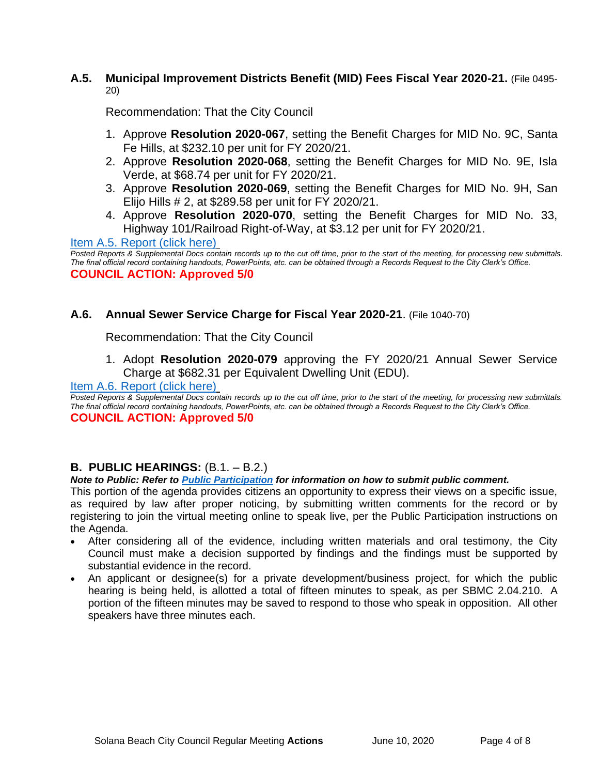# **A.5. Municipal Improvement Districts Benefit (MID) Fees Fiscal Year 2020-21.** (File 0495- 20)

Recommendation: That the City Council

- 1. Approve **Resolution 2020-067**, setting the Benefit Charges for MID No. 9C, Santa Fe Hills, at \$232.10 per unit for FY 2020/21.
- 2. Approve **Resolution 2020-068**, setting the Benefit Charges for MID No. 9E, Isla Verde, at \$68.74 per unit for FY 2020/21.
- 3. Approve **Resolution 2020-069**, setting the Benefit Charges for MID No. 9H, San Elijo Hills # 2, at \$289.58 per unit for FY 2020/21.
- 4. Approve **Resolution 2020-070**, setting the Benefit Charges for MID No. 33, Highway 101/Railroad Right-of-Way, at \$3.12 per unit for FY 2020/21.

[Item A.5. Report \(click here\)](https://solanabeach.govoffice3.com/vertical/Sites/%7B840804C2-F869-4904-9AE3-720581350CE7%7D/uploads/Item_A.5._Report_(click_here)_06-10-20_-_O.pdf)

*Posted Reports & Supplemental Docs contain records up to the cut off time, prior to the start of the meeting, for processing new submittals. The final official record containing handouts, PowerPoints, etc. can be obtained through a Records Request to the City Clerk's Office.* **COUNCIL ACTION: Approved 5/0**

# **A.6. Annual Sewer Service Charge for Fiscal Year 2020-21**. (File 1040-70)

Recommendation: That the City Council

1. Adopt **Resolution 2020-079** approving the FY 2020/21 Annual Sewer Service Charge at \$682.31 per Equivalent Dwelling Unit (EDU).

#### [Item A.6. Report \(click here\)](https://solanabeach.govoffice3.com/vertical/Sites/%7B840804C2-F869-4904-9AE3-720581350CE7%7D/uploads/Item_A.6._Report_(click_here)_06-10-20_-_O.pdf)

*Posted Reports & Supplemental Docs contain records up to the cut off time, prior to the start of the meeting, for processing new submittals. The final official record containing handouts, PowerPoints, etc. can be obtained through a Records Request to the City Clerk's Office.* **COUNCIL ACTION: Approved 5/0**

# **B. PUBLIC HEARINGS:** (B.1. – B.2.)

#### *Note to Public: Refer to Public Participation for information on how to submit public comment.*

This portion of the agenda provides citizens an opportunity to express their views on a specific issue, as required by law after proper noticing, by submitting written comments for the record or by registering to join the virtual meeting online to speak live, per the Public Participation instructions on the Agenda.

- After considering all of the evidence, including written materials and oral testimony, the City Council must make a decision supported by findings and the findings must be supported by substantial evidence in the record.
- An applicant or designee(s) for a private development/business project, for which the public hearing is being held, is allotted a total of fifteen minutes to speak, as per SBMC 2.04.210. A portion of the fifteen minutes may be saved to respond to those who speak in opposition. All other speakers have three minutes each.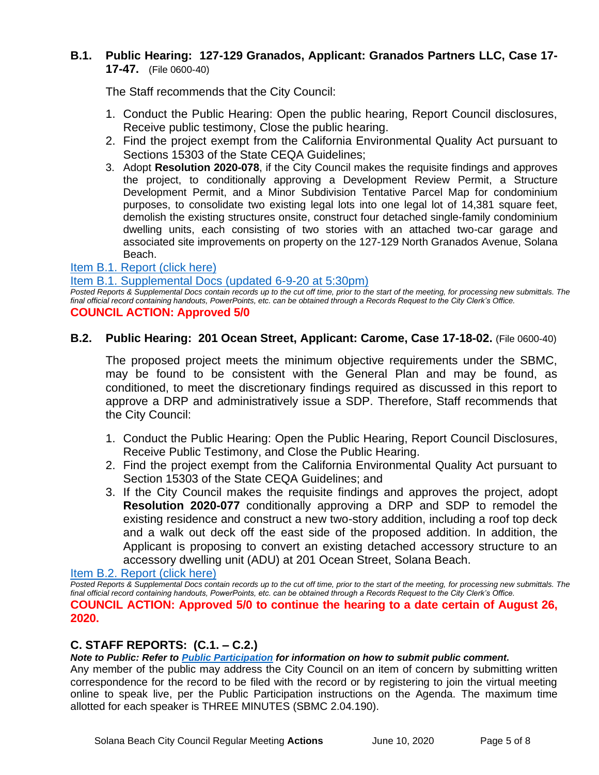# **B.1. Public Hearing: 127-129 Granados, Applicant: Granados Partners LLC, Case 17- 17-47.** (File 0600-40)

The Staff recommends that the City Council:

- 1. Conduct the Public Hearing: Open the public hearing, Report Council disclosures, Receive public testimony, Close the public hearing.
- 2. Find the project exempt from the California Environmental Quality Act pursuant to Sections 15303 of the State CEQA Guidelines;
- 3. Adopt **Resolution 2020-078**, if the City Council makes the requisite findings and approves the project, to conditionally approving a Development Review Permit, a Structure Development Permit, and a Minor Subdivision Tentative Parcel Map for condominium purposes, to consolidate two existing legal lots into one legal lot of 14,381 square feet, demolish the existing structures onsite, construct four detached single-family condominium dwelling units, each consisting of two stories with an attached two-car garage and associated site improvements on property on the 127-129 North Granados Avenue, Solana Beach.

#### [Item B.1. Report \(click here\)](https://www.dropbox.com/sh/ixkqaovxs5i0eoi/AADlAi0JZGUBDosqPf5kyC73a?dl=0)

[Item B.1. Supplemental Docs \(updated 6-9-20](https://solanabeach.govoffice3.com/vertical/Sites/%7B840804C2-F869-4904-9AE3-720581350CE7%7D/uploads/Item_B.1._Supplemental_Docs(Updated_6-9-20_at_530pm)_-_O.pdf) at 5:30pm)

*Posted Reports & Supplemental Docs contain records up to the cut off time, prior to the start of the meeting, for processing new submittals. The final official record containing handouts, PowerPoints, etc. can be obtained through a Records Request to the City Clerk's Office.* **COUNCIL ACTION: Approved 5/0**

#### **B.2. Public Hearing: 201 Ocean Street, Applicant: Carome, Case 17-18-02.** (File 0600-40)

The proposed project meets the minimum objective requirements under the SBMC, may be found to be consistent with the General Plan and may be found, as conditioned, to meet the discretionary findings required as discussed in this report to approve a DRP and administratively issue a SDP. Therefore, Staff recommends that the City Council:

- 1. Conduct the Public Hearing: Open the Public Hearing, Report Council Disclosures, Receive Public Testimony, and Close the Public Hearing.
- 2. Find the project exempt from the California Environmental Quality Act pursuant to Section 15303 of the State CEQA Guidelines; and
- 3. If the City Council makes the requisite findings and approves the project, adopt **Resolution 2020-077** conditionally approving a DRP and SDP to remodel the existing residence and construct a new two-story addition, including a roof top deck and a walk out deck off the east side of the proposed addition. In addition, the Applicant is proposing to convert an existing detached accessory structure to an accessory dwelling unit (ADU) at 201 Ocean Street, Solana Beach.

[Item B.2. Report \(click here\)](https://solanabeach.govoffice3.com/vertical/Sites/%7B840804C2-F869-4904-9AE3-720581350CE7%7D/uploads/Item_B.2._Report_(click_here)_06-10-20_-_O.pdf)

*Posted Reports & Supplemental Docs contain records up to the cut off time, prior to the start of the meeting, for processing new submittals. The final official record containing handouts, PowerPoints, etc. can be obtained through a Records Request to the City Clerk's Office.* **COUNCIL ACTION: Approved 5/0 to continue the hearing to a date certain of August 26, 2020.**

# **C. STAFF REPORTS: (C.1. – C.2.)**

*Note to Public: Refer to Public Participation for information on how to submit public comment.* 

Any member of the public may address the City Council on an item of concern by submitting written correspondence for the record to be filed with the record or by registering to join the virtual meeting online to speak live, per the Public Participation instructions on the Agenda. The maximum time allotted for each speaker is THREE MINUTES (SBMC 2.04.190).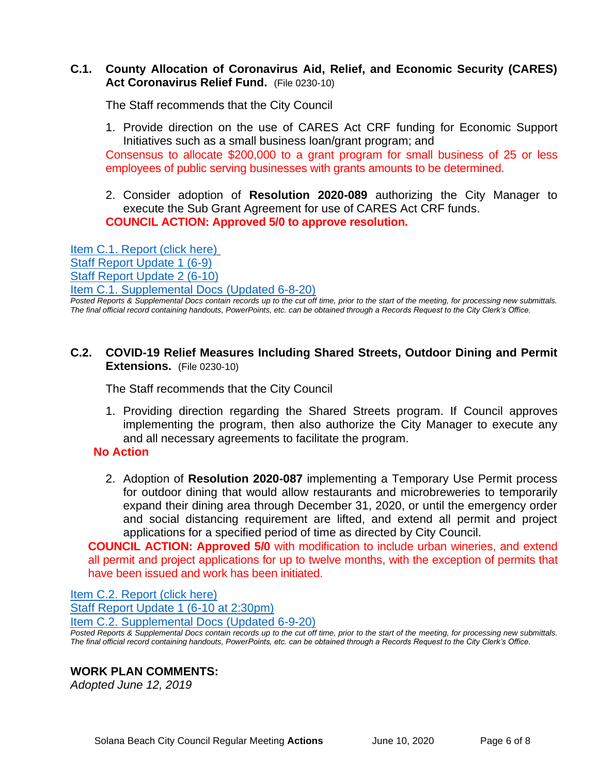#### **C.1. County Allocation of Coronavirus Aid, Relief, and Economic Security (CARES) Act Coronavirus Relief Fund.** (File 0230-10)

The Staff recommends that the City Council

- 1. Provide direction on the use of CARES Act CRF funding for Economic Support Initiatives such as a small business loan/grant program; and Consensus to allocate \$200,000 to a grant program for small business of 25 or less employees of public serving businesses with grants amounts to be determined.
- 2. Consider adoption of **Resolution 2020-089** authorizing the City Manager to execute the Sub Grant Agreement for use of CARES Act CRF funds. **COUNCIL ACTION: Approved 5/0 to approve resolution.**

[Item C.1. Report \(click here\)](https://solanabeach.govoffice3.com/vertical/Sites/%7B840804C2-F869-4904-9AE3-720581350CE7%7D/uploads/Item_C.1._Report_(click_here)_06-10-20_-_O(2).pdf) [Staff Report Update 1 \(6-9\)](https://solanabeach.govoffice3.com/vertical/Sites/%7B840804C2-F869-4904-9AE3-720581350CE7%7D/uploads/Item_C.1._Staff_Report_Update_1_(Updated_6-9_at_110pm)_-_O.pdf) [Staff Report Update 2 \(6-10\)](https://solanabeach.govoffice3.com/vertical/Sites/%7B840804C2-F869-4904-9AE3-720581350CE7%7D/uploads/Item_C.1._Staff_Report_Update_2_-_O.pdf) [Item C.1. Supplemental Docs](https://solanabeach.govoffice3.com/vertical/Sites/%7B840804C2-F869-4904-9AE3-720581350CE7%7D/uploads/Item_C.1._Supplemental_Docs_(Updated_6-8-20)_-_O.pdf) (Updated 6-8-20)

*Posted Reports & Supplemental Docs contain records up to the cut off time, prior to the start of the meeting, for processing new submittals. The final official record containing handouts, PowerPoints, etc. can be obtained through a Records Request to the City Clerk's Office.*

**C.2. COVID-19 Relief Measures Including Shared Streets, Outdoor Dining and Permit Extensions.** (File 0230-10)

The Staff recommends that the City Council

1. Providing direction regarding the Shared Streets program. If Council approves implementing the program, then also authorize the City Manager to execute any and all necessary agreements to facilitate the program.

#### **No Action**

2. Adoption of **Resolution 2020-087** implementing a Temporary Use Permit process for outdoor dining that would allow restaurants and microbreweries to temporarily expand their dining area through December 31, 2020, or until the emergency order and social distancing requirement are lifted, and extend all permit and project applications for a specified period of time as directed by City Council.

**COUNCIL ACTION: Approved 5/0** with modification to include urban wineries, and extend all permit and project applications for up to twelve months, with the exception of permits that have been issued and work has been initiated.

[Item C.2. Report](https://solanabeach.govoffice3.com/vertical/Sites/%7B840804C2-F869-4904-9AE3-720581350CE7%7D/uploads/Item_C.2._Report_(click_here)_06-10-20_-_O.pdf) (click here) [Staff Report Update 1 \(6-10 at 2:30pm\)](https://solanabeach.govoffice3.com/vertical/Sites/%7B840804C2-F869-4904-9AE3-720581350CE7%7D/uploads/Item_C.2._Staff_Report_Update_1_(Updated_6-10-20_at_230pm)_-_O.pdf)

[Item C.2. Supplemental Docs \(Updated 6-9-20\)](https://solanabeach.govoffice3.com/vertical/Sites/%7B840804C2-F869-4904-9AE3-720581350CE7%7D/uploads/Item_C.2._Supplemental_Docs_(Updated_6-9-20)_-_O.pdf)

Posted Reports & Supplemental Docs contain records up to the cut off time, prior to the start of the meeting, for processing new submittals. *The final official record containing handouts, PowerPoints, etc. can be obtained through a Records Request to the City Clerk's Office.*

#### **WORK PLAN COMMENTS:**

*Adopted June 12, 2019*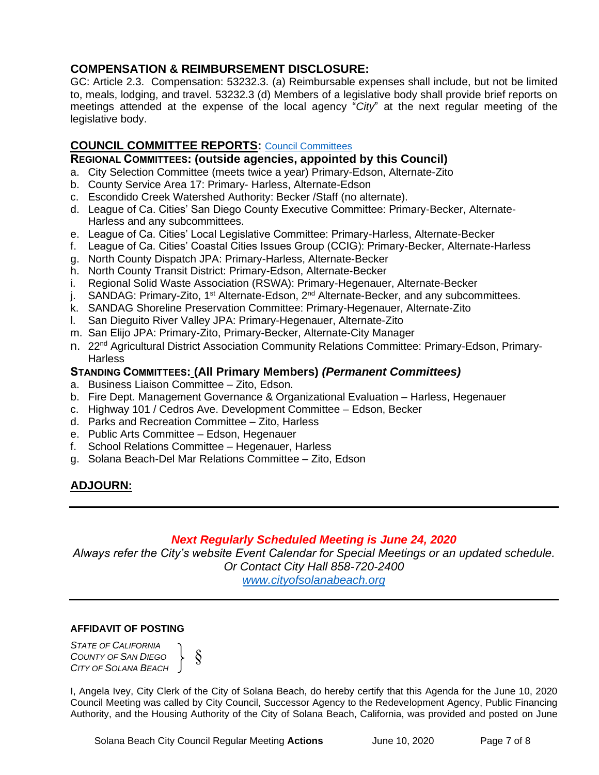# **COMPENSATION & REIMBURSEMENT DISCLOSURE:**

GC: Article 2.3. Compensation: 53232.3. (a) Reimbursable expenses shall include, but not be limited to, meals, lodging, and travel. 53232.3 (d) Members of a legislative body shall provide brief reports on meetings attended at the expense of the local agency "*City*" at the next regular meeting of the legislative body.

# **COUNCIL COMMITTEE REPORTS:** [Council Committees](https://www.ci.solana-beach.ca.us/index.asp?SEC=584E1192-3850-46EA-B977-088AC3E81E0D&Type=B_BASIC)

#### **REGIONAL COMMITTEES: (outside agencies, appointed by this Council)**

- a. City Selection Committee (meets twice a year) Primary-Edson, Alternate-Zito
- b. County Service Area 17: Primary- Harless, Alternate-Edson
- c. Escondido Creek Watershed Authority: Becker /Staff (no alternate).
- d. League of Ca. Cities' San Diego County Executive Committee: Primary-Becker, Alternate-Harless and any subcommittees.
- e. League of Ca. Cities' Local Legislative Committee: Primary-Harless, Alternate-Becker
- f. League of Ca. Cities' Coastal Cities Issues Group (CCIG): Primary-Becker, Alternate-Harless
- g. North County Dispatch JPA: Primary-Harless, Alternate-Becker
- h. North County Transit District: Primary-Edson, Alternate-Becker
- i. Regional Solid Waste Association (RSWA): Primary-Hegenauer, Alternate-Becker
- j. SANDAG: Primary-Zito, 1<sup>st</sup> Alternate-Edson, 2<sup>nd</sup> Alternate-Becker, and any subcommittees.
- k. SANDAG Shoreline Preservation Committee: Primary-Hegenauer, Alternate-Zito
- l. San Dieguito River Valley JPA: Primary-Hegenauer, Alternate-Zito
- m. San Elijo JPA: Primary-Zito, Primary-Becker, Alternate-City Manager
- n. 22<sup>nd</sup> Agricultural District Association Community Relations Committee: Primary-Edson, Primary-**Harless**

#### **STANDING COMMITTEES: (All Primary Members)** *(Permanent Committees)*

- a. Business Liaison Committee Zito, Edson.
- b. Fire Dept. Management Governance & Organizational Evaluation Harless, Hegenauer
- c. Highway 101 / Cedros Ave. Development Committee Edson, Becker
- d. Parks and Recreation Committee Zito, Harless
- e. Public Arts Committee Edson, Hegenauer
- f. School Relations Committee Hegenauer, Harless
- g. Solana Beach-Del Mar Relations Committee Zito, Edson

# **ADJOURN:**

# *Next Regularly Scheduled Meeting is June 24, 2020*

*Always refer the City's website Event Calendar for Special Meetings or an updated schedule. Or Contact City Hall 858-720-2400*

*[www.cityofsolanabeach.org](http://www.cityofsolanabeach.org/)* 

#### **AFFIDAVIT OF POSTING**

*STATE OF CALIFORNIA COUNTY OF SAN DIEGO CITY OF SOLANA BEACH*



I, Angela Ivey, City Clerk of the City of Solana Beach, do hereby certify that this Agenda for the June 10, 2020 Council Meeting was called by City Council, Successor Agency to the Redevelopment Agency, Public Financing Authority, and the Housing Authority of the City of Solana Beach, California, was provided and posted on June